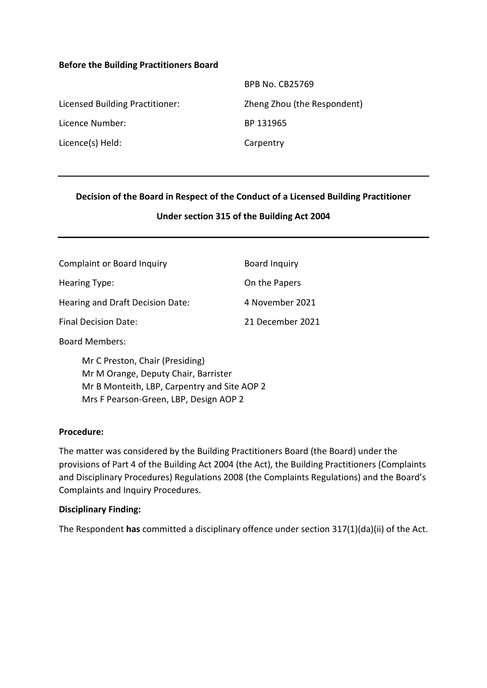#### **Before the Building Practitioners Board**

|                                 | <b>BPB No. CB25769</b>      |
|---------------------------------|-----------------------------|
| Licensed Building Practitioner: | Zheng Zhou (the Respondent) |
| Licence Number:                 | BP 131965                   |
| Licence(s) Held:                | Carpentry                   |

### **Decision of the Board in Respect of the Conduct of a Licensed Building Practitioner**

#### **Under section 315 of the Building Act 2004**

| Complaint or Board Inquiry       | Board Inquiry    |
|----------------------------------|------------------|
| Hearing Type:                    | On the Papers    |
| Hearing and Draft Decision Date: | 4 November 2021  |
| <b>Final Decision Date:</b>      | 21 December 2021 |

Board Members:

Mr C Preston, Chair (Presiding) Mr M Orange, Deputy Chair, Barrister Mr B Monteith, LBP, Carpentry and Site AOP 2 Mrs F Pearson-Green, LBP, Design AOP 2

#### **Procedure:**

The matter was considered by the Building Practitioners Board (the Board) under the provisions of Part 4 of the Building Act 2004 (the Act), the Building Practitioners (Complaints and Disciplinary Procedures) Regulations 2008 (the Complaints Regulations) and the Board's Complaints and Inquiry Procedures.

#### **Disciplinary Finding:**

The Respondent **has** committed a disciplinary offence under section 317(1)(da)(ii) of the Act.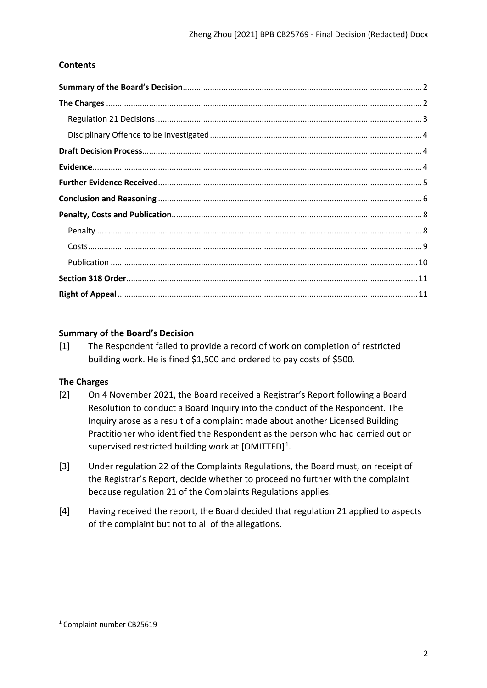# **Contents**

## <span id="page-1-0"></span>**Summary of the Board's Decision**

[1] The Respondent failed to provide a record of work on completion of restricted building work. He is fined \$1,500 and ordered to pay costs of \$500.

## <span id="page-1-1"></span>**The Charges**

- [2] On 4 November 2021, the Board received a Registrar's Report following a Board Resolution to conduct a Board Inquiry into the conduct of the Respondent. The Inquiry arose as a result of a complaint made about another Licensed Building Practitioner who identified the Respondent as the person who had carried out or supervised restricted building work at [OMITTED]<sup>1</sup>.
- [3] Under regulation 22 of the Complaints Regulations, the Board must, on receipt of the Registrar's Report, decide whether to proceed no further with the complaint because regulation 21 of the Complaints Regulations applies.
- [4] Having received the report, the Board decided that regulation 21 applied to aspects of the complaint but not to all of the allegations.

<span id="page-1-2"></span><sup>1</sup> Complaint number CB25619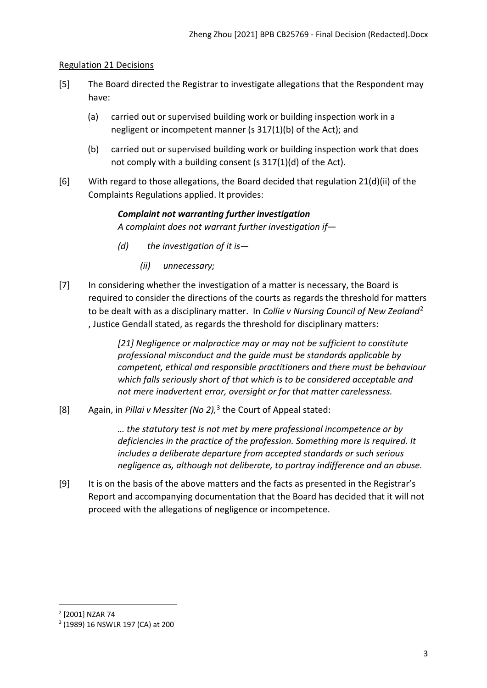## <span id="page-2-0"></span>Regulation 21 Decisions

- [5] The Board directed the Registrar to investigate allegations that the Respondent may have:
	- (a) carried out or supervised building work or building inspection work in a negligent or incompetent manner (s 317(1)(b) of the Act); and
	- (b) carried out or supervised building work or building inspection work that does not comply with a building consent (s 317(1)(d) of the Act).
- [6] With regard to those allegations, the Board decided that regulation 21(d)(ii) of the Complaints Regulations applied. It provides:

# *Complaint not warranting further investigation A complaint does not warrant further investigation if—*

- *(d) the investigation of it is—* 
	- *(ii) unnecessary;*
- [7] In considering whether the investigation of a matter is necessary, the Board is required to consider the directions of the courts as regards the threshold for matters to be dealt with as a disciplinary matter. In *Collie v Nursing Council of New Zealand*[2](#page-2-1) , Justice Gendall stated, as regards the threshold for disciplinary matters:

*[21] Negligence or malpractice may or may not be sufficient to constitute professional misconduct and the guide must be standards applicable by competent, ethical and responsible practitioners and there must be behaviour which falls seriously short of that which is to be considered acceptable and not mere inadvertent error, oversight or for that matter carelessness.*

[8] Again, in *Pillai v Messiter (No 2),* [3](#page-2-2) the Court of Appeal stated:

*… the statutory test is not met by mere professional incompetence or by deficiencies in the practice of the profession. Something more is required. It includes a deliberate departure from accepted standards or such serious negligence as, although not deliberate, to portray indifference and an abuse.*

[9] It is on the basis of the above matters and the facts as presented in the Registrar's Report and accompanying documentation that the Board has decided that it will not proceed with the allegations of negligence or incompetence.

<span id="page-2-1"></span><sup>2</sup> [2001] NZAR 74

<span id="page-2-2"></span><sup>3</sup> (1989) 16 NSWLR 197 (CA) at 200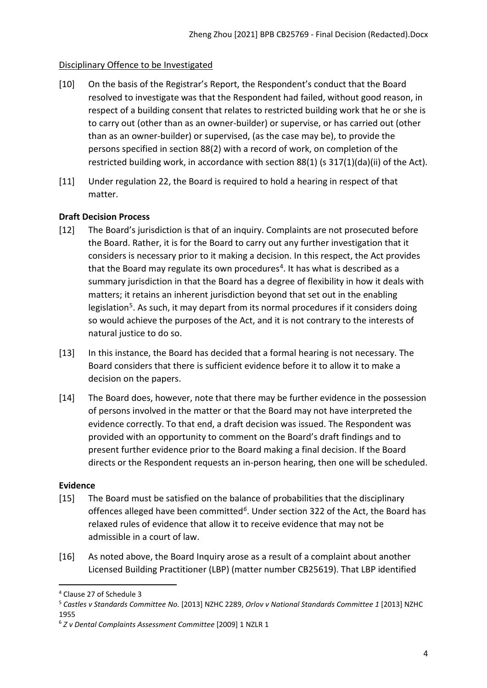# <span id="page-3-0"></span>Disciplinary Offence to be Investigated

- [10] On the basis of the Registrar's Report, the Respondent's conduct that the Board resolved to investigate was that the Respondent had failed, without good reason, in respect of a building consent that relates to restricted building work that he or she is to carry out (other than as an owner-builder) or supervise, or has carried out (other than as an owner-builder) or supervised, (as the case may be), to provide the persons specified in section 88(2) with a record of work, on completion of the restricted building work, in accordance with section 88(1) (s 317(1)(da)(ii) of the Act).
- [11] Under regulation 22, the Board is required to hold a hearing in respect of that matter.

# <span id="page-3-1"></span>**Draft Decision Process**

- [12] The Board's jurisdiction is that of an inquiry. Complaints are not prosecuted before the Board. Rather, it is for the Board to carry out any further investigation that it considers is necessary prior to it making a decision. In this respect, the Act provides that the Board may regulate its own procedures<sup>[4](#page-3-3)</sup>. It has what is described as a summary jurisdiction in that the Board has a degree of flexibility in how it deals with matters; it retains an inherent jurisdiction beyond that set out in the enabling legislation<sup>[5](#page-3-4)</sup>. As such, it may depart from its normal procedures if it considers doing so would achieve the purposes of the Act, and it is not contrary to the interests of natural justice to do so.
- [13] In this instance, the Board has decided that a formal hearing is not necessary. The Board considers that there is sufficient evidence before it to allow it to make a decision on the papers.
- [14] The Board does, however, note that there may be further evidence in the possession of persons involved in the matter or that the Board may not have interpreted the evidence correctly. To that end, a draft decision was issued. The Respondent was provided with an opportunity to comment on the Board's draft findings and to present further evidence prior to the Board making a final decision. If the Board directs or the Respondent requests an in-person hearing, then one will be scheduled.

## <span id="page-3-2"></span>**Evidence**

- [15] The Board must be satisfied on the balance of probabilities that the disciplinary offences alleged have been committed*[6](#page-3-5)*. Under section 322 of the Act, the Board has relaxed rules of evidence that allow it to receive evidence that may not be admissible in a court of law.
- [16] As noted above, the Board Inquiry arose as a result of a complaint about another Licensed Building Practitioner (LBP) (matter number CB25619). That LBP identified

<span id="page-3-3"></span><sup>4</sup> Clause 27 of Schedule 3

<span id="page-3-4"></span><sup>5</sup> *Castles v Standards Committee No.* [2013] NZHC 2289, *Orlov v National Standards Committee 1* [2013] NZHC 1955

<span id="page-3-5"></span><sup>6</sup> *Z v Dental Complaints Assessment Committee* [2009] 1 NZLR 1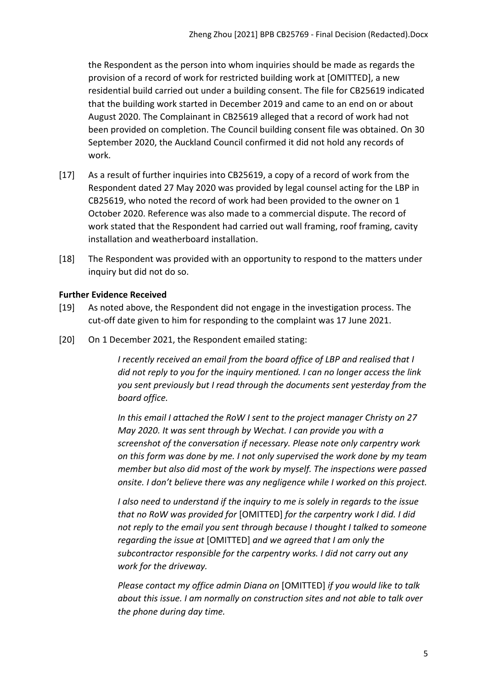the Respondent as the person into whom inquiries should be made as regards the provision of a record of work for restricted building work at [OMITTED], a new residential build carried out under a building consent. The file for CB25619 indicated that the building work started in December 2019 and came to an end on or about August 2020. The Complainant in CB25619 alleged that a record of work had not been provided on completion. The Council building consent file was obtained. On 30 September 2020, the Auckland Council confirmed it did not hold any records of work.

- [17] As a result of further inquiries into CB25619, a copy of a record of work from the Respondent dated 27 May 2020 was provided by legal counsel acting for the LBP in CB25619, who noted the record of work had been provided to the owner on 1 October 2020. Reference was also made to a commercial dispute. The record of work stated that the Respondent had carried out wall framing, roof framing, cavity installation and weatherboard installation.
- [18] The Respondent was provided with an opportunity to respond to the matters under inquiry but did not do so.

# <span id="page-4-0"></span>**Further Evidence Received**

- [19] As noted above, the Respondent did not engage in the investigation process. The cut-off date given to him for responding to the complaint was 17 June 2021.
- [20] On 1 December 2021, the Respondent emailed stating:

*I recently received an email from the board office of LBP and realised that I did not reply to you for the inquiry mentioned. I can no longer access the link you sent previously but I read through the documents sent yesterday from the board office.*

*In this email I attached the RoW I sent to the project manager Christy on 27 May 2020. It was sent through by Wechat. I can provide you with a screenshot of the conversation if necessary. Please note only carpentry work on this form was done by me. I not only supervised the work done by my team member but also did most of the work by myself. The inspections were passed onsite. I don't believe there was any negligence while I worked on this project.*

*I also need to understand if the inquiry to me is solely in regards to the issue that no RoW was provided for* [OMITTED] *for the carpentry work I did. I did not reply to the email you sent through because I thought I talked to someone regarding the issue at* [OMITTED] *and we agreed that I am only the subcontractor responsible for the carpentry works. I did not carry out any work for the driveway.*

*Please contact my office admin Diana on* [OMITTED] *if you would like to talk about this issue. I am normally on construction sites and not able to talk over the phone during day time.*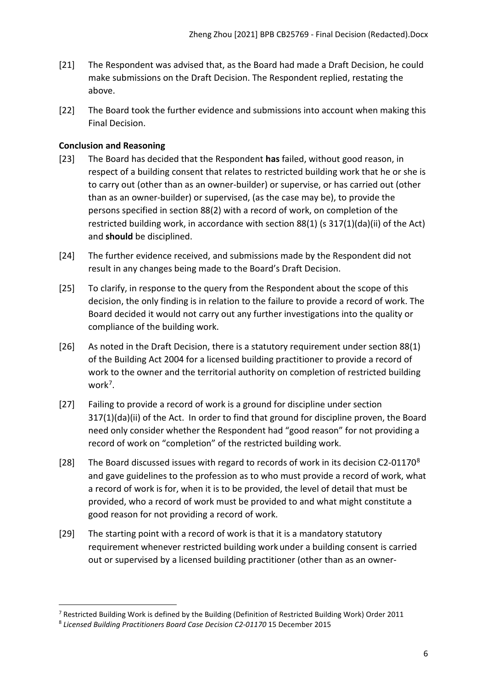- [21] The Respondent was advised that, as the Board had made a Draft Decision, he could make submissions on the Draft Decision. The Respondent replied, restating the above.
- [22] The Board took the further evidence and submissions into account when making this Final Decision.

# <span id="page-5-0"></span>**Conclusion and Reasoning**

- [23] The Board has decided that the Respondent **has** failed, without good reason, in respect of a building consent that relates to restricted building work that he or she is to carry out (other than as an owner-builder) or supervise, or has carried out (other than as an owner-builder) or supervised, (as the case may be), to provide the persons specified in section 88(2) with a record of work, on completion of the restricted building work, in accordance with section 88(1) (s 317(1)(da)(ii) of the Act) and **should** be disciplined.
- [24] The further evidence received, and submissions made by the Respondent did not result in any changes being made to the Board's Draft Decision.
- [25] To clarify, in response to the query from the Respondent about the scope of this decision, the only finding is in relation to the failure to provide a record of work. The Board decided it would not carry out any further investigations into the quality or compliance of the building work.
- [26] As noted in the Draft Decision, there is a statutory requirement under section 88(1) of the Building Act 2004 for a licensed building practitioner to provide a record of work to the owner and the territorial authority on completion of restricted building work<sup>[7](#page-5-1)</sup>.
- [27] Failing to provide a record of work is a ground for discipline under section 317(1)(da)(ii) of the Act. In order to find that ground for discipline proven, the Board need only consider whether the Respondent had "good reason" for not providing a record of work on "completion" of the restricted building work.
- [2[8](#page-5-2)] The Board discussed issues with regard to records of work in its decision C2-01170<sup>8</sup> and gave guidelines to the profession as to who must provide a record of work, what a record of work is for, when it is to be provided, the level of detail that must be provided, who a record of work must be provided to and what might constitute a good reason for not providing a record of work.
- [29] The starting point with a record of work is that it is a mandatory statutory requirement whenever restricted building work under a building consent is carried out or supervised by a licensed building practitioner (other than as an owner-

<span id="page-5-1"></span><sup>&</sup>lt;sup>7</sup> Restricted Building Work is defined by the Building (Definition of Restricted Building Work) Order 2011

<span id="page-5-2"></span><sup>8</sup> *Licensed Building Practitioners Board Case Decision C2-01170* 15 December 2015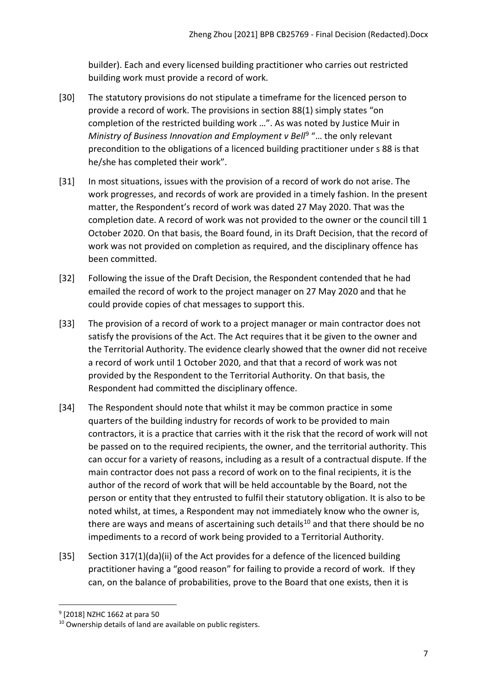builder). Each and every licensed building practitioner who carries out restricted building work must provide a record of work.

- [30] The statutory provisions do not stipulate a timeframe for the licenced person to provide a record of work. The provisions in section 88(1) simply states "on completion of the restricted building work …". As was noted by Justice Muir in *Ministry of Business Innovation and Employment v Bell<sup>[9](#page-6-0)</sup> "... the only relevant* precondition to the obligations of a licenced building practitioner under s 88 is that he/she has completed their work".
- [31] In most situations, issues with the provision of a record of work do not arise. The work progresses, and records of work are provided in a timely fashion. In the present matter, the Respondent's record of work was dated 27 May 2020. That was the completion date. A record of work was not provided to the owner or the council till 1 October 2020. On that basis, the Board found, in its Draft Decision, that the record of work was not provided on completion as required, and the disciplinary offence has been committed.
- [32] Following the issue of the Draft Decision, the Respondent contended that he had emailed the record of work to the project manager on 27 May 2020 and that he could provide copies of chat messages to support this.
- [33] The provision of a record of work to a project manager or main contractor does not satisfy the provisions of the Act. The Act requires that it be given to the owner and the Territorial Authority. The evidence clearly showed that the owner did not receive a record of work until 1 October 2020, and that that a record of work was not provided by the Respondent to the Territorial Authority. On that basis, the Respondent had committed the disciplinary offence.
- [34] The Respondent should note that whilst it may be common practice in some quarters of the building industry for records of work to be provided to main contractors, it is a practice that carries with it the risk that the record of work will not be passed on to the required recipients, the owner, and the territorial authority. This can occur for a variety of reasons, including as a result of a contractual dispute. If the main contractor does not pass a record of work on to the final recipients, it is the author of the record of work that will be held accountable by the Board, not the person or entity that they entrusted to fulfil their statutory obligation. It is also to be noted whilst, at times, a Respondent may not immediately know who the owner is, there are ways and means of ascertaining such details<sup>[10](#page-6-1)</sup> and that there should be no impediments to a record of work being provided to a Territorial Authority.
- [35] Section 317(1)(da)(ii) of the Act provides for a defence of the licenced building practitioner having a "good reason" for failing to provide a record of work. If they can, on the balance of probabilities, prove to the Board that one exists, then it is

<span id="page-6-0"></span><sup>9</sup> [2018] NZHC 1662 at para 50

<span id="page-6-1"></span><sup>10</sup> Ownership details of land are available on public registers.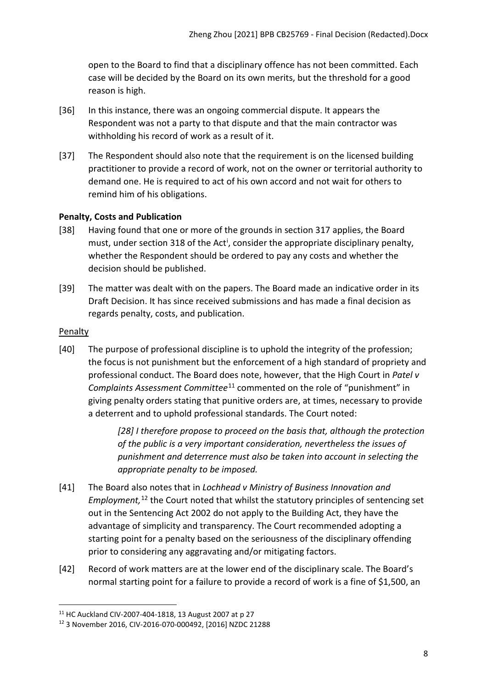open to the Board to find that a disciplinary offence has not been committed. Each case will be decided by the Board on its own merits, but the threshold for a good reason is high.

- [36] In this instance, there was an ongoing commercial dispute. It appears the Respondent was not a party to that dispute and that the main contractor was withholding his record of work as a result of it.
- [37] The Respondent should also note that the requirement is on the licensed building practitioner to provide a record of work, not on the owner or territorial authority to demand one. He is required to act of his own accord and not wait for others to remind him of his obligations.

# <span id="page-7-0"></span>**Penalty, Costs and Publication**

- [38] Having found that one or more of the grounds in section 317 applies, the Board must, under sect[i](#page-10-2)on 318 of the Act<sup>i</sup>, consider the appropriate disciplinary penalty, whether the Respondent should be ordered to pay any costs and whether the decision should be published.
- [39] The matter was dealt with on the papers. The Board made an indicative order in its Draft Decision. It has since received submissions and has made a final decision as regards penalty, costs, and publication.

## <span id="page-7-1"></span>**Penalty**

[40] The purpose of professional discipline is to uphold the integrity of the profession; the focus is not punishment but the enforcement of a high standard of propriety and professional conduct. The Board does note, however, that the High Court in *Patel v Complaints Assessment Committee*[11](#page-7-2) commented on the role of "punishment" in giving penalty orders stating that punitive orders are, at times, necessary to provide a deterrent and to uphold professional standards. The Court noted:

> *[28] I therefore propose to proceed on the basis that, although the protection of the public is a very important consideration, nevertheless the issues of punishment and deterrence must also be taken into account in selecting the appropriate penalty to be imposed.*

- [41] The Board also notes that in *Lochhead v Ministry of Business Innovation and Employment,* [12](#page-7-3) the Court noted that whilst the statutory principles of sentencing set out in the Sentencing Act 2002 do not apply to the Building Act, they have the advantage of simplicity and transparency. The Court recommended adopting a starting point for a penalty based on the seriousness of the disciplinary offending prior to considering any aggravating and/or mitigating factors.
- [42] Record of work matters are at the lower end of the disciplinary scale. The Board's normal starting point for a failure to provide a record of work is a fine of \$1,500, an

<span id="page-7-2"></span><sup>11</sup> HC Auckland CIV-2007-404-1818, 13 August 2007 at p 27

<span id="page-7-3"></span><sup>12</sup> 3 November 2016, CIV-2016-070-000492, [2016] NZDC 21288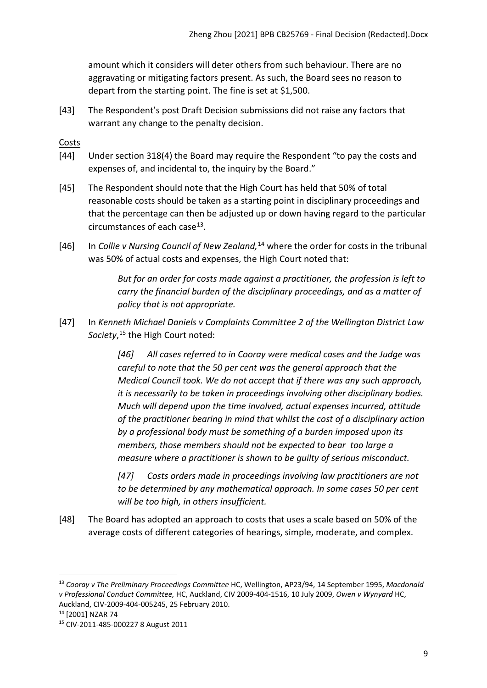amount which it considers will deter others from such behaviour. There are no aggravating or mitigating factors present. As such, the Board sees no reason to depart from the starting point. The fine is set at \$1,500.

[43] The Respondent's post Draft Decision submissions did not raise any factors that warrant any change to the penalty decision.

<span id="page-8-0"></span>Costs

- [44] Under section 318(4) the Board may require the Respondent "to pay the costs and expenses of, and incidental to, the inquiry by the Board."
- [45] The Respondent should note that the High Court has held that 50% of total reasonable costs should be taken as a starting point in disciplinary proceedings and that the percentage can then be adjusted up or down having regard to the particular circumstances of each case $^{13}$ .
- [46] In *Collie v Nursing Council of New Zealand,*[14](#page-8-2) where the order for costs in the tribunal was 50% of actual costs and expenses, the High Court noted that:

*But for an order for costs made against a practitioner, the profession is left to carry the financial burden of the disciplinary proceedings, and as a matter of policy that is not appropriate.*

[47] In *Kenneth Michael Daniels v Complaints Committee 2 of the Wellington District Law Society*, [15](#page-8-3) the High Court noted:

> *[46] All cases referred to in Cooray were medical cases and the Judge was careful to note that the 50 per cent was the general approach that the Medical Council took. We do not accept that if there was any such approach, it is necessarily to be taken in proceedings involving other disciplinary bodies. Much will depend upon the time involved, actual expenses incurred, attitude of the practitioner bearing in mind that whilst the cost of a disciplinary action by a professional body must be something of a burden imposed upon its members, those members should not be expected to bear too large a measure where a practitioner is shown to be guilty of serious misconduct.*

*[47] Costs orders made in proceedings involving law practitioners are not to be determined by any mathematical approach. In some cases 50 per cent will be too high, in others insufficient.*

[48] The Board has adopted an approach to costs that uses a scale based on 50% of the average costs of different categories of hearings, simple, moderate, and complex.

<span id="page-8-1"></span><sup>13</sup> *Cooray v The Preliminary Proceedings Committee* HC, Wellington, AP23/94, 14 September 1995, *Macdonald v Professional Conduct Committee,* HC, Auckland, CIV 2009-404-1516, 10 July 2009, *Owen v Wynyard* HC, Auckland, CIV-2009-404-005245, 25 February 2010. 14 [2001] NZAR 74

<span id="page-8-2"></span>

<span id="page-8-3"></span><sup>15</sup> CIV-2011-485-000227 8 August 2011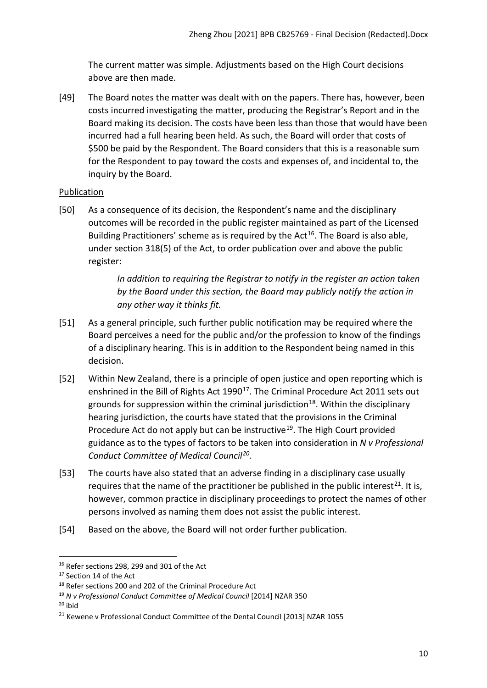The current matter was simple. Adjustments based on the High Court decisions above are then made.

[49] The Board notes the matter was dealt with on the papers. There has, however, been costs incurred investigating the matter, producing the Registrar's Report and in the Board making its decision. The costs have been less than those that would have been incurred had a full hearing been held. As such, the Board will order that costs of \$500 be paid by the Respondent. The Board considers that this is a reasonable sum for the Respondent to pay toward the costs and expenses of, and incidental to, the inquiry by the Board.

# <span id="page-9-0"></span>Publication

[50] As a consequence of its decision, the Respondent's name and the disciplinary outcomes will be recorded in the public register maintained as part of the Licensed Building Practitioners' scheme as is required by the  $Act^{16}$  $Act^{16}$  $Act^{16}$ . The Board is also able, under section 318(5) of the Act, to order publication over and above the public register:

> *In addition to requiring the Registrar to notify in the register an action taken by the Board under this section, the Board may publicly notify the action in any other way it thinks fit.*

- [51] As a general principle, such further public notification may be required where the Board perceives a need for the public and/or the profession to know of the findings of a disciplinary hearing. This is in addition to the Respondent being named in this decision.
- [52] Within New Zealand, there is a principle of open justice and open reporting which is enshrined in the Bill of Rights Act 1990<sup>17</sup>. The Criminal Procedure Act 2011 sets out grounds for suppression within the criminal jurisdiction<sup>18</sup>. Within the disciplinary hearing jurisdiction, the courts have stated that the provisions in the Criminal Procedure Act do not apply but can be instructive<sup>[19](#page-9-4)</sup>. The High Court provided guidance as to the types of factors to be taken into consideration in *N v Professional Conduct Committee of Medical Council[20](#page-9-5).*
- [53] The courts have also stated that an adverse finding in a disciplinary case usually requires that the name of the practitioner be published in the public interest<sup>[21](#page-9-6)</sup>. It is, however, common practice in disciplinary proceedings to protect the names of other persons involved as naming them does not assist the public interest.
- [54] Based on the above, the Board will not order further publication.

<span id="page-9-1"></span> $16$  Refer sections 298, 299 and 301 of the Act

<span id="page-9-2"></span><sup>&</sup>lt;sup>17</sup> Section 14 of the Act

<span id="page-9-3"></span><sup>&</sup>lt;sup>18</sup> Refer sections 200 and 202 of the Criminal Procedure Act

<span id="page-9-4"></span><sup>19</sup> *N v Professional Conduct Committee of Medical Council* [2014] NZAR 350

<span id="page-9-5"></span> $20$  ibid

<span id="page-9-6"></span><sup>&</sup>lt;sup>21</sup> Kewene v Professional Conduct Committee of the Dental Council [2013] NZAR 1055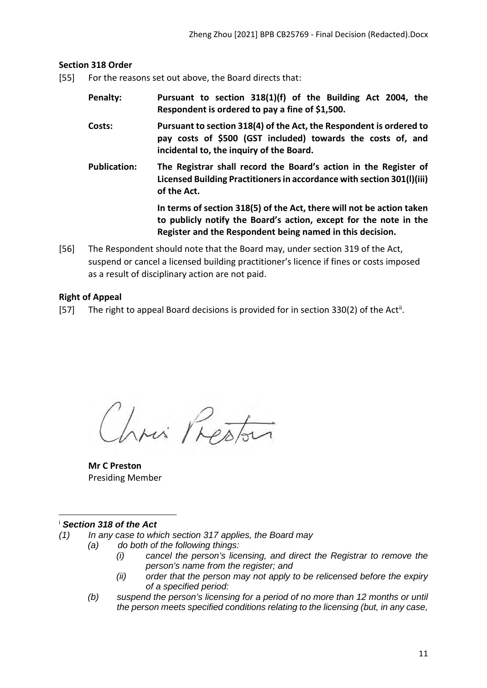### <span id="page-10-0"></span>**Section 318 Order**

- [55] For the reasons set out above, the Board directs that:
	- **Penalty: Pursuant to section 318(1)(f) of the Building Act 2004, the Respondent is ordered to pay a fine of \$1,500.**
	- **Costs: Pursuant to section 318(4) of the Act, the Respondent is ordered to pay costs of \$500 (GST included) towards the costs of, and incidental to, the inquiry of the Board.**
	- **Publication: The Registrar shall record the Board's action in the Register of Licensed Building Practitioners in accordance with section 301(l)(iii) of the Act.**

**In terms of section 318(5) of the Act, there will not be action taken to publicly notify the Board's action, except for the note in the Register and the Respondent being named in this decision.**

[56] The Respondent should note that the Board may, under section 319 of the Act, suspend or cancel a licensed building practitioner's licence if fines or costs imposed as a result of disciplinary action are not paid.

### <span id="page-10-1"></span>**Right of Appeal**

[57] The right to appeal Board decisions is provided for in section 330(2) of the Act<sup>[ii](#page-11-0)</sup>.

Chris Prestar

**Mr C Preston** Presiding Member

#### <span id="page-10-2"></span><sup>i</sup> *Section 318 of the Act*

- *(1) In any case to which section 317 applies, the Board may*
	- *(a) do both of the following things:*
		- *(i) cancel the person's licensing, and direct the Registrar to remove the person's name from the register; and*
		- *(ii) order that the person may not apply to be relicensed before the expiry of a specified period:*
	- *(b) suspend the person's licensing for a period of no more than 12 months or until the person meets specified conditions relating to the licensing (but, in any case,*